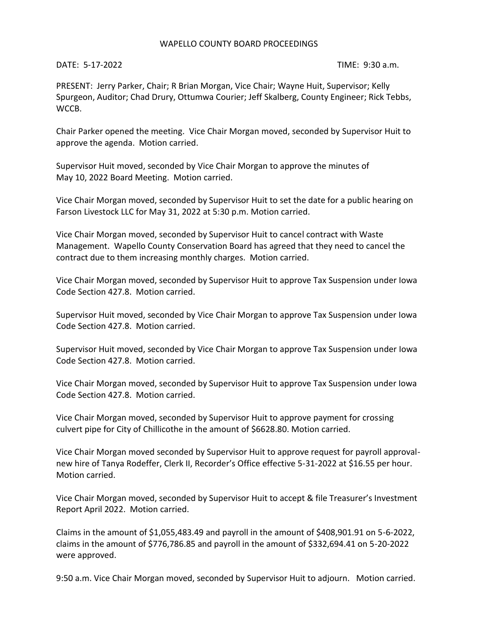## WAPELLO COUNTY BOARD PROCEEDINGS

DATE: 5-17-2022 TIME: 9:30 a.m.

PRESENT: Jerry Parker, Chair; R Brian Morgan, Vice Chair; Wayne Huit, Supervisor; Kelly Spurgeon, Auditor; Chad Drury, Ottumwa Courier; Jeff Skalberg, County Engineer; Rick Tebbs, WCCB.

Chair Parker opened the meeting. Vice Chair Morgan moved, seconded by Supervisor Huit to approve the agenda. Motion carried.

Supervisor Huit moved, seconded by Vice Chair Morgan to approve the minutes of May 10, 2022 Board Meeting. Motion carried.

Vice Chair Morgan moved, seconded by Supervisor Huit to set the date for a public hearing on Farson Livestock LLC for May 31, 2022 at 5:30 p.m. Motion carried.

Vice Chair Morgan moved, seconded by Supervisor Huit to cancel contract with Waste Management. Wapello County Conservation Board has agreed that they need to cancel the contract due to them increasing monthly charges. Motion carried.

Vice Chair Morgan moved, seconded by Supervisor Huit to approve Tax Suspension under Iowa Code Section 427.8. Motion carried.

Supervisor Huit moved, seconded by Vice Chair Morgan to approve Tax Suspension under Iowa Code Section 427.8. Motion carried.

Supervisor Huit moved, seconded by Vice Chair Morgan to approve Tax Suspension under Iowa Code Section 427.8. Motion carried.

Vice Chair Morgan moved, seconded by Supervisor Huit to approve Tax Suspension under Iowa Code Section 427.8. Motion carried.

Vice Chair Morgan moved, seconded by Supervisor Huit to approve payment for crossing culvert pipe for City of Chillicothe in the amount of \$6628.80. Motion carried.

Vice Chair Morgan moved seconded by Supervisor Huit to approve request for payroll approvalnew hire of Tanya Rodeffer, Clerk II, Recorder's Office effective 5-31-2022 at \$16.55 per hour. Motion carried.

Vice Chair Morgan moved, seconded by Supervisor Huit to accept & file Treasurer's Investment Report April 2022. Motion carried.

Claims in the amount of \$1,055,483.49 and payroll in the amount of \$408,901.91 on 5-6-2022, claims in the amount of \$776,786.85 and payroll in the amount of \$332,694.41 on 5-20-2022 were approved.

9:50 a.m. Vice Chair Morgan moved, seconded by Supervisor Huit to adjourn. Motion carried.